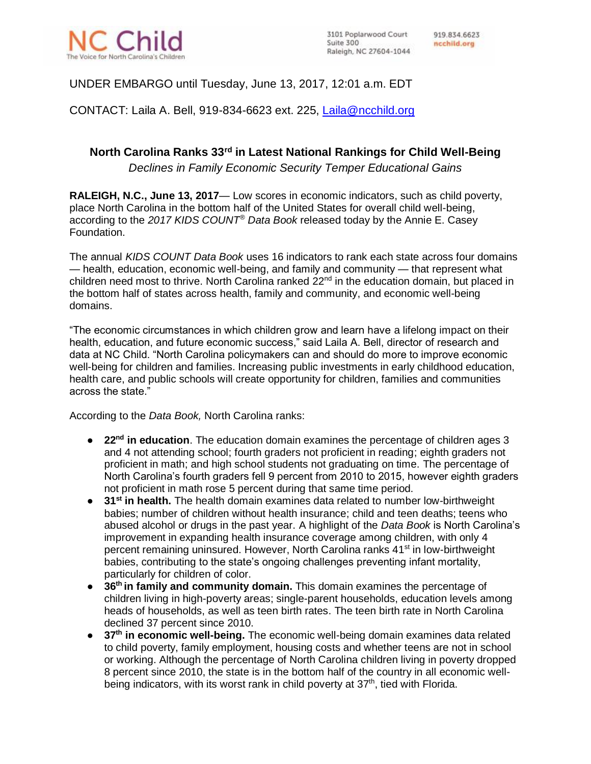

## UNDER EMBARGO until Tuesday, June 13, 2017, 12:01 a.m. EDT

CONTACT: Laila A. Bell, 919-834-6623 ext. 225, [Laila@ncchild.org](mailto:Laila@ncchild.org)

# **North Carolina Ranks 33rd in Latest National Rankings for Child Well-Being**

*Declines in Family Economic Security Temper Educational Gains*

**RALEIGH, N.C., June 13, 2017**— Low scores in economic indicators, such as child poverty, place North Carolina in the bottom half of the United States for overall child well-being, according to the *2017 KIDS COUNT® Data Book* released today by the Annie E. Casey Foundation.

The annual *KIDS COUNT Data Book* uses 16 indicators to rank each state across four domains — health, education, economic well-being, and family and community — that represent what children need most to thrive. North Carolina ranked 22<sup>nd</sup> in the education domain, but placed in the bottom half of states across health, family and community, and economic well-being domains.

"The economic circumstances in which children grow and learn have a lifelong impact on their health, education, and future economic success," said Laila A. Bell, director of research and data at NC Child. "North Carolina policymakers can and should do more to improve economic well-being for children and families. Increasing public investments in early childhood education, health care, and public schools will create opportunity for children, families and communities across the state."

According to the *Data Book,* North Carolina ranks:

- **22<sup>nd</sup> in education**. The education domain examines the percentage of children ages 3 and 4 not attending school; fourth graders not proficient in reading; eighth graders not proficient in math; and high school students not graduating on time. The percentage of North Carolina's fourth graders fell 9 percent from 2010 to 2015, however eighth graders not proficient in math rose 5 percent during that same time period.
- **31st in health.** The health domain examines data related to number low-birthweight babies; number of children without health insurance; child and teen deaths; teens who abused alcohol or drugs in the past year. A highlight of the *Data Book* is North Carolina's improvement in expanding health insurance coverage among children, with only 4 percent remaining uninsured. However, North Carolina ranks 41<sup>st</sup> in low-birthweight babies, contributing to the state's ongoing challenges preventing infant mortality, particularly for children of color.
- **36th in family and community domain.** This domain examines the percentage of children living in high-poverty areas; single-parent households, education levels among heads of households, as well as teen birth rates. The teen birth rate in North Carolina declined 37 percent since 2010.
- **37th in economic well-being.** The economic well-being domain examines data related to child poverty, family employment, housing costs and whether teens are not in school or working. Although the percentage of North Carolina children living in poverty dropped 8 percent since 2010, the state is in the bottom half of the country in all economic wellbeing indicators, with its worst rank in child poverty at  $37<sup>th</sup>$ , tied with Florida.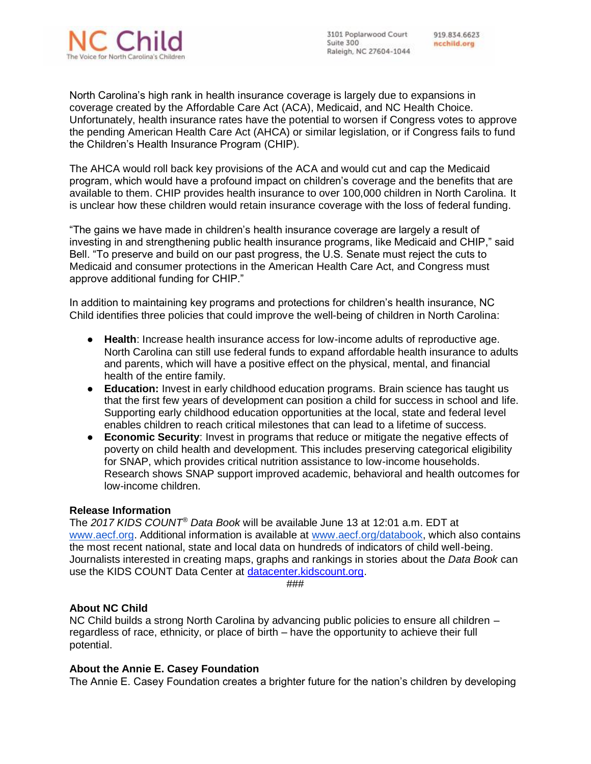

3101 Poplarwood Court Suite 300 Raleigh, NC 27604-1044

919.834.6623 ncchild.org

North Carolina's high rank in health insurance coverage is largely due to expansions in coverage created by the Affordable Care Act (ACA), Medicaid, and NC Health Choice. Unfortunately, health insurance rates have the potential to worsen if Congress votes to approve the pending American Health Care Act (AHCA) or similar legislation, or if Congress fails to fund the Children's Health Insurance Program (CHIP).

The AHCA would roll back key provisions of the ACA and would cut and cap the Medicaid program, which would have a profound impact on children's coverage and the benefits that are available to them. CHIP provides health insurance to over 100,000 children in North Carolina. It is unclear how these children would retain insurance coverage with the loss of federal funding.

"The gains we have made in children's health insurance coverage are largely a result of investing in and strengthening public health insurance programs, like Medicaid and CHIP," said Bell. "To preserve and build on our past progress, the U.S. Senate must reject the cuts to Medicaid and consumer protections in the American Health Care Act, and Congress must approve additional funding for CHIP."

In addition to maintaining key programs and protections for children's health insurance, NC Child identifies three policies that could improve the well-being of children in North Carolina:

- **Health**: Increase health insurance access for low-income adults of reproductive age. North Carolina can still use federal funds to expand affordable health insurance to adults and parents, which will have a positive effect on the physical, mental, and financial health of the entire family.
- **Education:** Invest in early childhood education programs. Brain science has taught us that the first few years of development can position a child for success in school and life. Supporting early childhood education opportunities at the local, state and federal level enables children to reach critical milestones that can lead to a lifetime of success.
- **Economic Security**: Invest in programs that reduce or mitigate the negative effects of poverty on child health and development. This includes preserving categorical eligibility for SNAP, which provides critical nutrition assistance to low-income households. Research shows SNAP support improved academic, behavioral and health outcomes for low-income children.

### **Release Information**

The *2017 KIDS COUNT® Data Book* will be available June 13 at 12:01 a.m. EDT at [www.aecf.org.](http://www.aecf.org/) Additional information is available at [www.aecf.org/databook,](http://databook.kidscount.org/) which also contains the most recent national, state and local data on hundreds of indicators of child well-being. Journalists interested in creating maps, graphs and rankings in stories about the *Data Book* can use the KIDS COUNT Data Center at [datacenter.kidscount.org.](http://datacenter.kidscount.org/)

###

### **About NC Child**

NC Child builds a strong North Carolina by advancing public policies to ensure all children – regardless of race, ethnicity, or place of birth – have the opportunity to achieve their full potential.

### **About the Annie E. Casey Foundation**

The Annie E. Casey Foundation creates a brighter future for the nation's children by developing